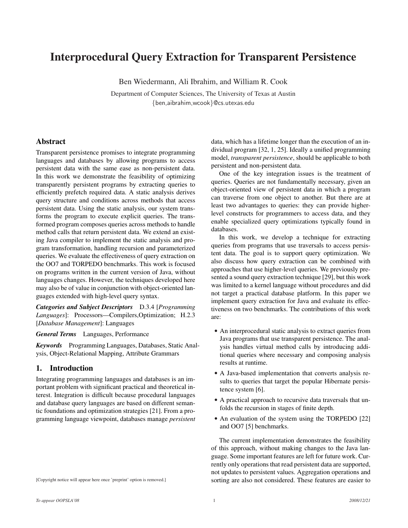# Interprocedural Query Extraction for Transparent Persistence

Ben Wiedermann, Ali Ibrahim, and William R. Cook

Department of Computer Sciences, The University of Texas at Austin {ben,aibrahim,wcook}@cs.utexas.edu

## Abstract

Transparent persistence promises to integrate programming languages and databases by allowing programs to access persistent data with the same ease as non-persistent data. In this work we demonstrate the feasibility of optimizing transparently persistent programs by extracting queries to efficiently prefetch required data. A static analysis derives query structure and conditions across methods that access persistent data. Using the static analysis, our system transforms the program to execute explicit queries. The transformed program composes queries across methods to handle method calls that return persistent data. We extend an existing Java compiler to implement the static analysis and program transformation, handling recursion and parameterized queries. We evaluate the effectiveness of query extraction on the OO7 and TORPEDO benchmarks. This work is focused on programs written in the current version of Java, without languages changes. However, the techniques developed here may also be of value in conjunction with object-oriented languages extended with high-level query syntax.

*Categories and Subject Descriptors* D.3.4 [*Programming Languages*]: Processors—Compilers,Optimization; H.2.3 [*Database Management*]: Languages

*General Terms* Languages, Performance

*Keywords* Programming Languages, Databases, Static Analysis, Object-Relational Mapping, Attribute Grammars

## 1. Introduction

Integrating programming languages and databases is an important problem with significant practical and theoretical interest. Integration is difficult because procedural languages and database query languages are based on different semantic foundations and optimization strategies [21]. From a programming language viewpoint, databases manage *persistent* data, which has a lifetime longer than the execution of an individual program [32, 1, 25]. Ideally a unified programming model, *transparent persistence*, should be applicable to both persistent and non-persistent data.

One of the key integration issues is the treatment of queries. Queries are not fundamentally necessary, given an object-oriented view of persistent data in which a program can traverse from one object to another. But there are at least two advantages to queries: they can provide higherlevel constructs for programmers to access data, and they enable specialized query optimizations typically found in databases.

In this work, we develop a technique for extracting queries from programs that use traversals to access persistent data. The goal is to support query optimization. We also discuss how query extraction can be combined with approaches that use higher-level queries. We previously presented a sound query extraction technique [29], but this work was limited to a kernel language without procedures and did not target a practical database platform. In this paper we implement query extraction for Java and evaluate its effectiveness on two benchmarks. The contributions of this work are:

- An interprocedural static analysis to extract queries from Java programs that use transparent persistence. The analysis handles virtual method calls by introducing additional queries where necessary and composing analysis results at runtime.
- A Java-based implementation that converts analysis results to queries that target the popular Hibernate persistence system [6].
- A practical approach to recursive data traversals that unfolds the recursion in stages of finite depth.
- An evaluation of the system using the TORPEDO [22] and OO7 [5] benchmarks.

The current implementation demonstrates the feasibility of this approach, without making changes to the Java language. Some important features are left for future work. Currently only operations that read persistent data are supported, not updates to persistent values. Aggregation operations and sorting are also not considered. These features are easier to

[Copyright notice will appear here once 'preprint' option is removed.]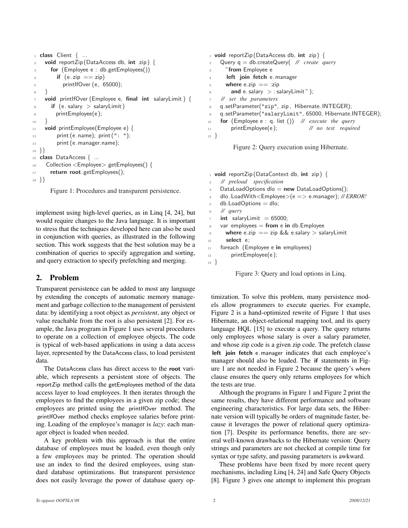```
1 class Client { ...
    void reportZip (DataAccess db, int zip) {
      for (Employee e : db.getEmployees())
4 if (e.\overline{zip} == \overline{zip})5 printlfOver (e, 65000);
6 }
    void printlfOver (Employee e, final int salaryLimit ) {
      if (e.salary > salaryLimit)printEmployee(e);
10 }
11 void printEmployee(Employee e) {
12 print (e.name); print (": ");
13 print (e.manager.name);
14 }}
15 class DataAccess { ...
16 Collection \le Employee > get Employees() {
17 return root.getEmployees();
18 }}
```
Figure 1: Procedures and transparent persistence.

implement using high-level queries, as in Linq [4, 24], but would require changes to the Java language. It is important to stress that the techniques developed here can also be used in conjunction with queries, as illustrated in the following section. This work suggests that the best solution may be a combination of queries to specify aggregation and sorting, and query extraction to specify prefetching and merging.

# 2. Problem

Transparent persistence can be added to most any language by extending the concepts of automatic memory management and garbage collection to the management of persistent data: by identifying a root object as *persistent*, any object or value reachable from the root is also persistent [2]. For example, the Java program in Figure 1 uses several procedures to operate on a collection of employee objects. The code is typical of web-based applications in using a data access layer, represented by the DataAccess class, to load persistent data.

The DataAccess class has direct access to the root variable, which represents a persistent store of objects. The reportZip method calls the getEmployees method of the data access layer to load employees. It then iterates through the employees to find the employees in a given zip code; these employees are printed using the printIfOver method. The printIfOver method checks employee salaries before printing. Loading of the employee's manager is *lazy*: each manager object is loaded when needed.

A key problem with this approach is that the entire database of employees must be loaded, even though only a few employees may be printed. The operation should use an index to find the desired employees, using standard database optimizations. But transparent persistence does not easily leverage the power of database query op-

```
1 void reportZip (DataAccess db, int zip) {
    Query q = db.createQuery( // create query
       "from Employee e
       left join fetch e.manager
5 where e.zip == :zip6 \qquad \text{and } e \text{. salary } > : \text{salaryLimit } ");7 // set the parameters
8 q.setParameter("zip", zip , Hibernate.INTEGER);
9 q.setParameter("salaryLimit", 65000, Hibernate.INTEGER);
10 for (Employee e : q. list ()) // execute the query
11 printEmployee(e ); // no test required
12 }
```
Figure 2: Query execution using Hibernate.

```
_1 void reportZip (DataContext db, int zip) {
2 // preload specification
3 DataLoadOptions dlo = new DataLoadOptions();
4 dlo.LoadWith<Employee>(e => e.manager); // ERROR!
5 db. Load Options = dlo;
6 // query
\tau int salaryLimit = 65000;
\text{8} var employees = from e in db. Employee
9 where e.zip == zip && e.salary > salaryLimit
10 select e;
11 foreach (Employee e in employees)
12 printEmployee(e);
13 }
```
Figure 3: Query and load options in Linq.

timization. To solve this problem, many persistence models allow programmers to execute queries. For example, Figure 2 is a hand-optimized rewrite of Figure 1 that uses Hibernate, an object-relational mapping tool, and its query language HQL [15] to execute a query. The query returns only employees whose salary is over a salary parameter, and whose zip code is a given zip code. The prefetch clause left join fetch e.manager indicates that each employee's manager should also be loaded. The if statements in Figure 1 are not needed in Figure 2 because the query's where clause ensures the query only returns employees for which the tests are true.

Although the programs in Figure 1 and Figure 2 print the same results, they have different performance and software engineering characteristics. For large data sets, the Hibernate version will typically be orders of magnitude faster, because it leverages the power of relational query optimization [7]. Despite its performance benefits, there are several well-known drawbacks to the Hibernate version: Query strings and parameters are not checked at compile time for syntax or type safety, and passing parameters is awkward.

These problems have been fixed by more recent query mechanisms, including Linq [4, 24] and Safe Query Objects [8]. Figure 3 gives one attempt to implement this program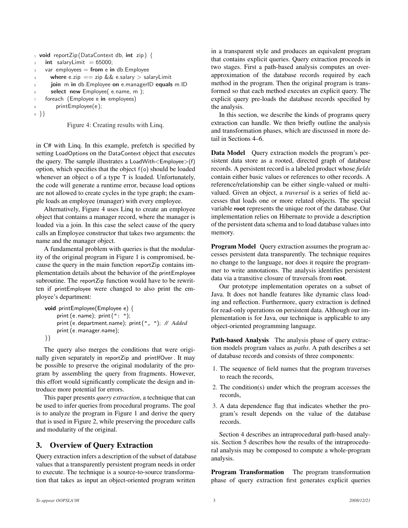```
1 void reportZip (DataContext db, int zip) {
   int salaryLimit = 65000;
   var employees = from e in db. Employee
     where e.zip == zip && e.salary > salaryLimit
5 join m in db. Employee on e. managerID equals m. ID
6 select new Employee( e.name, m );
7 foreach (Employee e in employees)
       printEmployee(e);
9 }}
```
Figure 4: Creating results with Linq.

in C# with Linq. In this example, prefetch is specified by setting LoadOptions on the DataContext object that executes the query. The sample illustrates a LoadWith<Employee>(f) option, which specifies that the object  $f(\rho)$  should be loaded whenever an object o of a type  $\top$  is loaded. Unfortunately, the code will generate a runtime error, because load options are not allowed to create cycles in the type graph; the example loads an employee (manager) with every employee.

Alternatively, Figure 4 uses Linq to create an employee object that contains a manager record, where the manager is loaded via a join. In this case the select cause of the query calls an Employee constructor that takes two arguments: the name and the manager object.

A fundamental problem with queries is that the modularity of the original program in Figure 1 is compromised, because the query in the main function reportZip contains implementation details about the behavior of the printEmployee subroutine. The reportZip function would have to be rewritten if printEmployee were changed to also print the employee's department:

```
void printEmployee(Employee e) {
    print (e.name); print (": ");print (e.department.name); print (", "); // Added
    print (e.manager.name);
}}
```
The query also merges the conditions that were originally given separately in reportZip and printIfOver . It may be possible to preserve the original modularity of the program by assembling the query from fragments. However, this effort would significantly complicate the design and introduce more potential for errors.

This paper presents *query extraction*, a technique that can be used to infer queries from procedural programs. The goal is to analyze the program in Figure 1 and derive the query that is used in Figure 2, while preserving the procedure calls and modularity of the original.

# 3. Overview of Query Extraction

Query extraction infers a description of the subset of database values that a transparently persistent program needs in order to execute. The technique is a source-to-source transformation that takes as input an object-oriented program written

in a transparent style and produces an equivalent program that contains explicit queries. Query extraction proceeds in two stages. First a path-based analysis computes an overapproximation of the database records required by each method in the program. Then the original program is transformed so that each method executes an explicit query. The explicit query pre-loads the database records specified by the analysis.

In this section, we describe the kinds of programs query extraction can handle. We then briefly outline the analysis and transformation phases, which are discussed in more detail in Sections 4–6.

Data Model Query extraction models the program's persistent data store as a rooted, directed graph of database records. A persistent record is a labeled product whose *fields* contain either basic values or references to other records. A reference/relationship can be either single-valued or multivalued. Given an object, a *traversal* is a series of field accesses that loads one or more related objects. The special variable root represents the unique root of the database. Our implementation relies on Hibernate to provide a description of the persistent data schema and to load database values into memory.

Program Model Query extraction assumes the program accesses persistent data transparently. The technique requires no change to the language, nor does it require the programmer to write annotations. The analysis identifies persistent data via a transitive closure of traversals from root.

Our prototype implementation operates on a subset of Java. It does not handle features like dynamic class loading and reflection. Furthermore, query extraction is defined for read-only operations on persistent data. Although our implementation is for Java, our technique is applicable to any object-oriented programming language.

Path-based Analysis The analysis phase of query extraction models program values as *paths*. A path describes a set of database records and consists of three components:

- 1. The sequence of field names that the program traverses to reach the records,
- 2. The condition(s) under which the program accesses the records,
- 3. A data dependence flag that indicates whether the program's result depends on the value of the database records.

Section 4 describes an intraprocedural path-based analysis. Section 5 describes how the results of the intraprocedural analysis may be composed to compute a whole-program analysis.

Program Transformation The program transformation phase of query extraction first generates explicit queries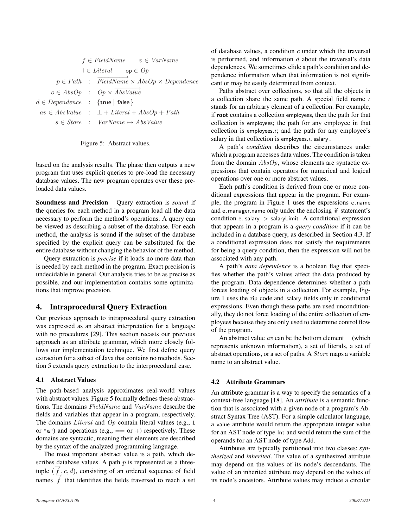$$
f \in FieldName \qquad v \in VarName
$$
  
\n
$$
1 \in Literal \qquad op \in Op
$$
  
\n
$$
p \in Path \qquad : \overrightarrow{FieldName} \times AbsOp \times Dependence
$$
  
\n
$$
o \in AbsOp \qquad : \quad Op \times \overrightarrow{AbsValue}
$$
  
\n
$$
d \in Dependence \qquad : \{true | false \}
$$
  
\n
$$
av \in AbsValue \qquad : \quad \bot + \overrightarrow{Literal} + \overrightarrow{AbsOp} + \overrightarrow{Path}
$$
  
\n
$$
s \in Store \qquad : \quad VarName \mapsto AbsValue
$$



based on the analysis results. The phase then outputs a new program that uses explicit queries to pre-load the necessary database values. The new program operates over these preloaded data values.

Soundness and Precision Query extraction is *sound* if the queries for each method in a program load all the data necessary to perform the method's operations. A query can be viewed as describing a subset of the database. For each method, the analysis is sound if the subset of the database specified by the explicit query can be substituted for the entire database without changing the behavior of the method.

Query extraction is *precise* if it loads no more data than is needed by each method in the program. Exact precision is undecidable in general. Our analysis tries to be as precise as possible, and our implementation contains some optimizations that improve precision.

# 4. Intraprocedural Query Extraction

Our previous approach to intraprocedural query extraction was expressed as an abstract interpretation for a language with no procedures [29]. This section recasts our previous approach as an attribute grammar, which more closely follows our implementation technique. We first define query extraction for a subset of Java that contains no methods. Section 5 extends query extraction to the interprocedural case.

## 4.1 Abstract Values

The path-based analysis approximates real-world values with abstract values. Figure 5 formally defines these abstractions. The domains FieldName and VarName describe the fields and variables that appear in a program, respectively. The domains *Literal* and *Op* contain literal values (e.g., 1) or "a") and operations (e.g.,  $== or +$ ) respectively. These domains are syntactic, meaning their elements are described by the syntax of the analyzed programming language.

The most important abstract value is a path, which describes database values. A path  $p$  is represented as a threetuple  $(\vec{f}, c, d)$ , consisting of an ordered sequence of field names  $\overrightarrow{f}$  that identifies the fields traversed to reach a set of database values, a condition  $c$  under which the traversal is performed, and information  $d$  about the traversal's data dependences. We sometimes elide a path's condition and dependence information when that information is not significant or may be easily determined from context.

Paths abstract over collections, so that all the objects in a collection share the same path. A special field name  $\iota$ stands for an arbitrary element of a collection. For example, if root contains a collection employees, then the path for that collection is employees; the path for any employee in that collection is employees. $\iota$ ; and the path for any employee's salary in that collection is employees. $\iota$ . salary.

A path's *condition* describes the circumstances under which a program accesses data values. The condition is taken from the domain  $AbsOp$ , whose elements are syntactic expressions that contain operators for numerical and logical operations over one or more abstract values.

Each path's condition is derived from one or more conditional expressions that appear in the program. For example, the program in Figure 1 uses the expressions e.name and e.manager.name only under the enclosing if statement's condition e. salary  $>$  salaryLimit. A conditional expression that appears in a program is a *query condition* if it can be included in a database query, as described in Section 4.3. If a conditional expression does not satisfy the requirements for being a query condition, then the expression will not be associated with any path.

A path's *data dependence* is a boolean flag that specifies whether the path's values affect the data produced by the program. Data dependence determines whether a path forces loading of objects in a collection. For example, Figure 1 uses the zip code and salary fields only in conditional expressions. Even though these paths are used unconditionally, they do not force loading of the entire collection of employees because they are only used to determine control flow of the program.

An abstract value av can be the bottom element  $\perp$  (which represents unknown information), a set of literals, a set of abstract operations, or a set of paths. A Store maps a variable name to an abstract value.

# 4.2 Attribute Grammars

An attribute grammar is a way to specify the semantics of a context-free language [18]. An *attribute* is a semantic function that is associated with a given node of a program's Abstract Syntax Tree (AST). For a simple calculator language, a value attribute would return the appropriate integer value for an AST node of type Int and would return the sum of the operands for an AST node of type Add.

Attributes are typically partitioned into two classes: *synthesized* and *inherited*. The value of a synthesized attribute may depend on the values of its node's descendants. The value of an inherited attribute may depend on the values of its node's ancestors. Attribute values may induce a circular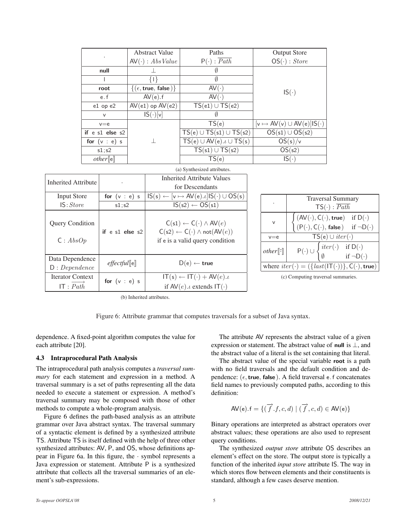|                             | <b>Abstract Value</b>                       | Paths                                | <b>Output Store</b>                       |  |  |
|-----------------------------|---------------------------------------------|--------------------------------------|-------------------------------------------|--|--|
|                             | $AV(\cdot) : AbsValue$                      | $P(\cdot): \overline{Path}$          | $OS(\cdot) : Store$                       |  |  |
| null                        |                                             | Ø                                    |                                           |  |  |
|                             | $\{   \}$                                   | Ø                                    |                                           |  |  |
| root                        | $\{(\epsilon, \text{true}, \text{false})\}$ | $AV(\cdot)$                          | $IS(\cdot)$                               |  |  |
| e.f                         | AV(e).f                                     | $AV(\cdot)$                          |                                           |  |  |
| $e1$ op $e2$                | $AV(e1)$ op $AV(e2)$                        | $TS(e1) \cup TS(e2)$                 |                                           |  |  |
| $\vee$                      | $IS(\cdot)[v]$                              | Ø                                    |                                           |  |  |
| $v = e$                     |                                             | TS(e)                                | $[v \mapsto AV(v) \cup AV(e)   IS(\cdot)$ |  |  |
| if $e$ s1 else s2           |                                             | $TS(e) \cup TS(s1) \cup TS(s2)$      | $OS(s1) \cup OS(s2)$                      |  |  |
| for $(v : e)$ s             |                                             | $TS(e) \cup AV(e). \iota \cup TS(s)$ | OS(s)/v                                   |  |  |
| s1; s2                      |                                             | $TS(s1) \cup TS(s2)$                 | OS(s2)                                    |  |  |
| $other$ [e]                 |                                             | TS(e)                                | $IS(\cdot)$                               |  |  |
| (a) Synthesized attributes. |                                             |                                      |                                           |  |  |

| <b>Inherited Attribute</b>         |                   | <b>Inherited Attribute Values</b>                                                                                                                     |  |                                                                                        |                                                                                    |  |  |  |
|------------------------------------|-------------------|-------------------------------------------------------------------------------------------------------------------------------------------------------|--|----------------------------------------------------------------------------------------|------------------------------------------------------------------------------------|--|--|--|
|                                    |                   | for Descendants                                                                                                                                       |  |                                                                                        |                                                                                    |  |  |  |
| <b>Input Store</b>                 | for $(v : e)$ s   | $[v \mapsto AV(e).i IS(\cdot) \cup OS(s)]$<br>$IS(s) \leftarrow$                                                                                      |  |                                                                                        | <b>Traversal Summary</b>                                                           |  |  |  |
| IS:Store                           | s1; s2            | $IS(s2) \leftarrow OS(s1)$                                                                                                                            |  |                                                                                        | $TS(\cdot): \overline{Path}$                                                       |  |  |  |
| <b>Query Condition</b><br>C: AbsOp | if $e$ s1 else s2 | $C(\mathsf{s}1) \leftarrow C(\cdot) \wedge \mathsf{AV}(e)$<br>$C(s2) \leftarrow C(\cdot) \wedge \text{not}(AV(e))$<br>if e is a valid query condition |  |                                                                                        | $(AV(\cdot), C(\cdot), \mathsf{true})$ if $D(\cdot)$                               |  |  |  |
|                                    |                   |                                                                                                                                                       |  | $\vee$                                                                                 | $(P(\cdot), C(\cdot),$ false) if $\neg D(\cdot)$                                   |  |  |  |
|                                    |                   |                                                                                                                                                       |  | $v = e$                                                                                | $TS(e) \cup iter(\cdot)$                                                           |  |  |  |
|                                    |                   |                                                                                                                                                       |  | $other$ [-]                                                                            | if D( $\cdot$ )<br>if $\neg D(\cdot)$<br>$P(\cdot) \cup \Big\{ \text{iter}(\cdot)$ |  |  |  |
| Data Dependence                    |                   |                                                                                                                                                       |  |                                                                                        |                                                                                    |  |  |  |
| D:Dependence                       | effectful[[e]]    | $D(e) \leftarrow true$                                                                                                                                |  | where $iter(\cdot) = (\{last(\mathsf{IT}(\cdot))\}, \mathsf{C}(\cdot), \mathsf{true})$ |                                                                                    |  |  |  |
| <b>Iterator Context</b>            | for $(v : e)$ s   | $IT(s) \leftarrow IT(\cdot) + AV(e) \cdot \iota$                                                                                                      |  |                                                                                        | (c) Computing traversal summaries.                                                 |  |  |  |
| IT : Path                          |                   | if $AV(e) \cdot \iota$ extends $IT(\cdot)$                                                                                                            |  |                                                                                        |                                                                                    |  |  |  |
|                                    |                   |                                                                                                                                                       |  |                                                                                        |                                                                                    |  |  |  |

(b) Inherited attributes.

Figure 6: Attribute grammar that computes traversals for a subset of Java syntax.

dependence. A fixed-point algorithm computes the value for each attribute [20].

#### 4.3 Intraprocedural Path Analysis

The intraprocedural path analysis computes a *traversal summary* for each statement and expression in a method. A traversal summary is a set of paths representing all the data needed to execute a statement or expression. A method's traversal summary may be composed with those of other methods to compute a whole-program analysis.

Figure 6 defines the path-based analysis as an attribute grammar over Java abstract syntax. The traversal summary of a syntactic element is defined by a synthesized attribute TS. Attribute TS is itself defined with the help of three other synthesized attributes: AV, P, and OS, whose definitions appear in Figure 6a. In this figure, the · symbol represents a Java expression or statement. Attribute P is a synthesized attribute that collects all the traversal summaries of an element's sub-expressions.

The attribute AV represents the abstract value of a given expression or statement. The abstract value of null is  $\bot$ , and the abstract value of a literal is the set containing that literal.

The abstract value of the special variable root is a path with no field traversals and the default condition and dependence:  $(\epsilon, \text{true}, \text{false})$ . A field traversal e. f concatenates field names to previously computed paths, according to this definition:

$$
\mathsf{AV}(e).f = \{ (\overrightarrow{f}.f, c, d) \mid (\overrightarrow{f}, c, d) \in \mathsf{AV}(e) \}
$$

Binary operations are interpreted as abstract operators over abstract values; these operations are also used to represent query conditions.

The synthesized *output store* attribute OS describes an element's effect on the store. The output store is typically a function of the inherited *input store* attribute IS. The way in which stores flow between elements and their constituents is standard, although a few cases deserve mention.

 $(\cdot),$  true)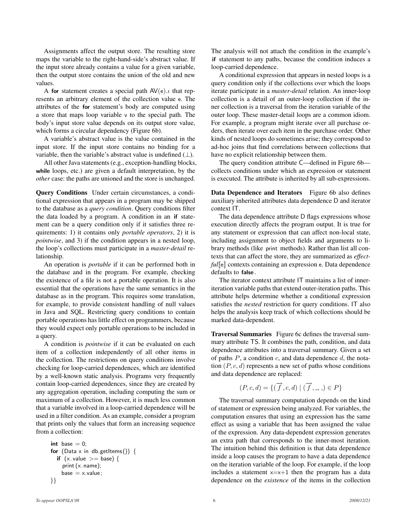Assignments affect the output store. The resulting store maps the variable to the right-hand-side's abstract value. If the input store already contains a value for a given variable, then the output store contains the union of the old and new values.

A for statement creates a special path  $AV(e)$ . that represents an arbitrary element of the collection value e. The attributes of the for statement's body are computed using a store that maps loop variable v to the special path. The body's input store value depends on its output store value, which forms a circular dependency (Figure 6b).

A variable's abstract value is the value contained in the input store. If the input store contains no binding for a variable, then the variable's abstract value is undefined  $(\perp)$ .

All other Java statements (e.g., exception-handling blocks, while loops, etc.) are given a default interpretation, by the *other* case: the paths are unioned and the store is unchanged.

Query Conditions Under certain circumstances, a conditional expression that appears in a program may be shipped to the database as a *query condition*. Query conditions filter the data loaded by a program. A condition in an if statement can be a query condition only if it satisfies three requirements: 1) it contains only *portable operators*, 2) it is *pointwise*, and 3) if the condition appears in a nested loop, the loop's collections must participate in a *master-detail* relationship.

An operation is *portable* if it can be performed both in the database and in the program. For example, checking the existence of a file is not a portable operation. It is also essential that the operations have the same semantics in the database as in the program. This requires some translation, for example, to provide consistent handling of null values in Java and SQL. Restricting query conditions to contain portable operations has little effect on programmers, because they would expect only portable operations to be included in a query.

A condition is *pointwise* if it can be evaluated on each item of a collection independently of all other items in the collection. The restrictions on query conditions involve checking for loop-carried dependences, which are identified by a well-known static analysis. Programs very frequently contain loop-carried dependences, since they are created by any aggregation operation, including computing the sum or maximum of a collection. However, it is much less common that a variable involved in a loop-carried dependence will be used in a filter condition. As an example, consider a program that prints only the values that form an increasing sequence from a collection:

$$
\begin{array}{l} \text{int base} = 0; \\ \text{for (Data x in db.getltems())} \\ \text{if (x.value >= base) } \\ \text{print (x.name);} \\ \text{base} = x.value; \end{array}
$$

The analysis will not attach the condition in the example's if statement to any paths, because the condition induces a loop-carried dependence.

A conditional expression that appears in nested loops is a query condition only if the collections over which the loops iterate participate in a *master-detail* relation. An inner-loop collection is a detail of an outer-loop collection if the inner collection is a traversal from the iteration variable of the outer loop. These master-detail loops are a common idiom. For example, a program might iterate over all purchase orders, then iterate over each item in the purchase order. Other kinds of nested loops do sometimes arise; they correspond to ad-hoc joins that find correlations between collections that have no explicit relationship between them.

The query condition attribute C—defined in Figure 6b collects conditions under which an expression or statement is executed. The attribute is inherited by all sub-expressions.

Data Dependence and Iterators Figure 6b also defines auxiliary inherited attributes data dependence D and iterator context IT.

The data dependence attribute D flags expressions whose execution directly affects the program output. It is true for any statement or expression that can affect non-local state, including assignment to object fields and arguments to library methods (like print methods). Rather than list all contexts that can affect the store, they are summarized as *effectful*[e]] contexts containing an expression e. Data dependence defaults to false .

The iterator context attribute IT maintains a list of inneriteration variable paths that extend outer-iteration paths. This attribute helps determine whether a conditional expression satisfies the *nested* restriction for query conditions. IT also helps the analysis keep track of which collections should be marked data-dependent.

Traversal Summaries Figure 6c defines the traversal summary attribute TS. It combines the path, condition, and data dependence attributes into a traversal summary. Given a set of paths  $P$ , a condition  $c$ , and data dependence  $d$ , the notation  $(P, c, d)$  represents a new set of paths whose conditions and data dependence are replaced:

$$
(P,c,d) = \{ (\overrightarrow{f},c,d) \mid (\overrightarrow{f},\_,\_) \in P \}
$$

The traversal summary computation depends on the kind of statement or expression being analyzed. For variables, the computation ensures that using an expression has the same effect as using a variable that has been assigned the value of the expression. Any data-dependent expression generates an extra path that corresponds to the inner-most iteration. The intuition behind this definition is that data dependence inside a loop causes the program to have a data dependence on the iteration variable of the loop. For example, if the loop includes a statement  $x=x+1$  then the program has a data dependence on the *existence* of the items in the collection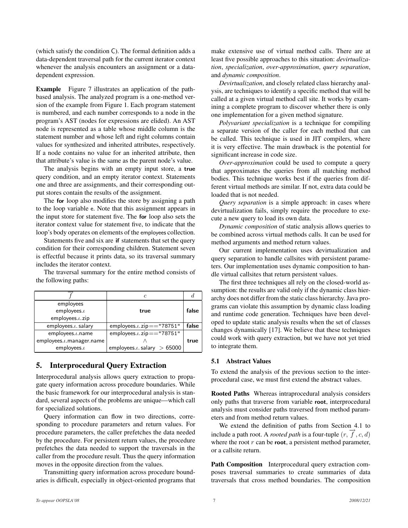(which satisfy the condition C). The formal definition adds a data-dependent traversal path for the current iterator context whenever the analysis encounters an assignment or a datadependent expression.

Example Figure 7 illustrates an application of the pathbased analysis. The analyzed program is a one-method version of the example from Figure 1. Each program statement is numbered, and each number corresponds to a node in the program's AST (nodes for expressions are elided). An AST node is represented as a table whose middle column is the statement number and whose left and right columns contain values for synthesized and inherited attributes, respectively. If a node contains no value for an inherited attribute, then that attribute's value is the same as the parent node's value.

The analysis begins with an empty input store, a true query condition, and an empty iterator context. Statements one and three are assignments, and their corresponding output stores contain the results of the assignment.

The for loop also modifies the store by assigning a path to the loop variable e. Note that this assignment appears in the input store for statement five. The for loop also sets the iterator context value for statement five, to indicate that the loop's body operates on elements of the employees collection.

Statements five and six are if statements that set the query condition for their corresponding children. Statement seven is effectful because it prints data, so its traversal summary includes the iterator context.

The traversal summary for the entire method consists of the following paths:

|                             | с                                   |       |
|-----------------------------|-------------------------------------|-------|
| employees                   |                                     |       |
| employees. $\iota$          | true                                | false |
| employees.t. zip            |                                     |       |
| employees. $\iota$ . salary | employees. $\iota$ . zip == "78751" | false |
| $employes.\iota.name$       | employees. $\iota$ . zip=="78751"   |       |
| employees.t.manager.name    |                                     | true  |
| employees. $\iota$          | employees. $\iota$ . salary > 65000 |       |

# 5. Interprocedural Query Extraction

Interprocedural analysis allows query extraction to propagate query information across procedure boundaries. While the basic framework for our interprocedural analysis is standard, several aspects of the problems are unique—which call for specialized solutions.

Query information can flow in two directions, corresponding to procedure parameters and return values. For procedure parameters, the caller prefetches the data needed by the procedure. For persistent return values, the procedure prefetches the data needed to support the traversals in the caller from the procedure result. Thus the query information moves in the opposite direction from the values.

Transmitting query information across procedure boundaries is difficult, especially in object-oriented programs that make extensive use of virtual method calls. There are at least five possible approaches to this situation: *devirtualization*, *specialization*, *over-approximation*, *query separation*, and *dynamic composition*.

*Devirtualization*, and closely related class hierarchy analysis, are techniques to identify a specific method that will be called at a given virtual method call site. It works by examining a complete program to discover whether there is only one implementation for a given method signature.

*Polyvariant specialization* is a technique for compiling a separate version of the caller for each method that can be called. This technique is used in JIT compilers, where it is very effective. The main drawback is the potential for significant increase in code size.

*Over-approximation* could be used to compute a query that approximates the queries from all matching method bodies. This technique works best if the queries from different virtual methods are similar. If not, extra data could be loaded that is not needed.

*Query separation* is a simple approach: in cases where devirtualization fails, simply require the procedure to execute a new query to load its own data.

*Dynamic composition* of static analysis allows queries to be combined across virtual methods calls. It can be used for method arguments and method return values.

Our current implementation uses devirtualization and query separation to handle callsites with persistent parameters. Our implementation uses dynamic composition to handle virtual callsites that return persistent values.

The first three techniques all rely on the closed-world assumption: the results are valid only if the dynamic class hierarchy does not differ from the static class hierarchy. Java programs can violate this assumption by dynamic class loading and runtime code generation. Techniques have been developed to update static analysis results when the set of classes changes dynamically [17]. We believe that these techniques could work with query extraction, but we have not yet tried to integrate them.

#### 5.1 Abstract Values

To extend the analysis of the previous section to the interprocedural case, we must first extend the abstract values.

Rooted Paths Whereas intraprocedural analysis considers only paths that traverse from variable root, interprocedural analysis must consider paths traversed from method parameters and from method return values.

We extend the definition of paths from Section 4.1 to include a path root. A *rooted path* is a four-tuple  $(r, \vec{f}, c, d)$ where the root  $r$  can be root, a persistent method parameter, or a callsite return.

Path Composition Interprocedural query extraction composes traversal summaries to create summaries of data traversals that cross method boundaries. The composition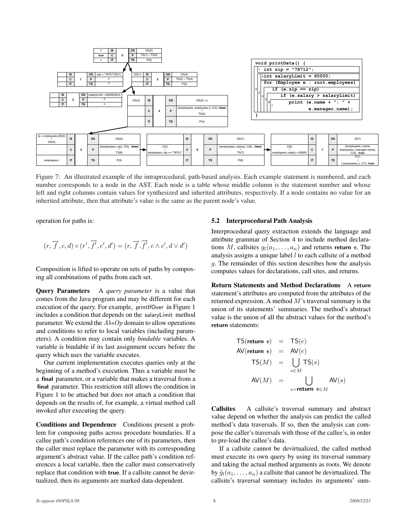

Figure 7: An illustrated example of the intraprocedural, path-based analysis. Each example statement is numbered, and each number corresponds to a node in the AST. Each node is a table whose middle column is the statement number and whose left and right columns contain values for synthesized and inherited attributes, respectively. If a node contains no value for an inherited attribute, then that attribute's value is the same as the parent node's value.

operation for paths is:

$$
(r, \overrightarrow{f}, c, d) \circ (r', \overrightarrow{f}', c', d') = (r, \overrightarrow{f}, \overrightarrow{f}', c \wedge c', d \vee d')
$$

Composition is lifted to operate on sets of paths by composing all combinations of paths from each set.

Query Parameters A *query parameter* is a value that comes from the Java program and may be different for each execution of the query. For example, printIfOver in Figure 1 includes a condition that depends on the salaryLimit method parameter. We extend the  $AbsOp$  domain to allow operations and conditions to refer to local variables (including parameters). A condition may contain only *bindable* variables. A variable is bindable if its last assignment occurs before the query which uses the variable executes.

Our current implementation executes queries only at the beginning of a method's execution. Thus a variable must be a final parameter, or a variable that makes a traversal from a final parameter. This restriction still allows the condition in Figure 1 to be attached but does not attach a condition that depends on the results of, for example, a virtual method call invoked after executing the query.

Conditions and Dependence Conditions present a problem for composing paths across procedure boundaries. If a callee path's condition references one of its parameters, then the caller must replace the parameter with its corresponding argument's abstract value. If the callee path's condition references a local variable, then the caller must conservatively replace that condition with true. If a callsite cannot be devirtualized, then its arguments are marked data-dependent.

#### 5.2 Interprocedural Path Analysis

Interprocedural query extraction extends the language and attribute grammar of Section 4 to include method declarations M, callsites  $q_1(a_1, \ldots, a_n)$  and returns return e. The analysis assigns a unique label  $l$  to each callsite of a method g. The remainder of this section describes how the analysis computes values for declarations, call sites, and returns.

Return Statements and Method Declarations A return statement's attributes are computed from the attributes of the returned expression. A method M's traversal summary is the union of its statements' summaries. The method's abstract value is the union of all the abstract values for the method's return statements:

$$
TS(\text{return } e) = TS(e)
$$
\n
$$
AV(\text{return } e) = AV(e)
$$
\n
$$
TS(M) = \bigcup_{s \in M} TS(s)
$$
\n
$$
AV(M) = \bigcup_{s = \text{return } e \in M} AV(s)
$$

Callsites A callsite's traversal summary and abstract value depend on whether the analysis can predict the called method's data traversals. If so, then the analysis can compose the caller's traversals with those of the callee's, in order to pre-load the callee's data.

If a callsite cannot be devirtualized, the called method must execute its own query by using its traversal summary and taking the actual method arguments as roots. We denote by  $\tilde{q}_l(a_1, \ldots, a_n)$  a callsite that cannot be devirtualized. The callsite's traversal summary includes its arguments' sum-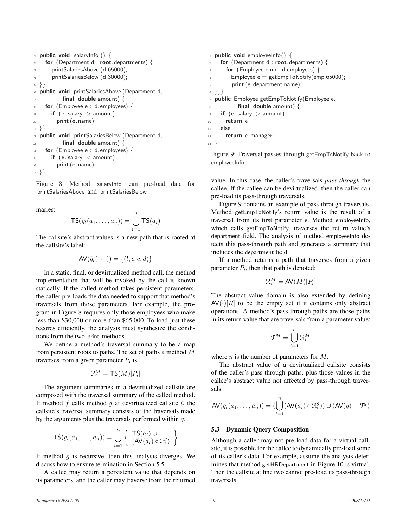```
1 public void salaryInfo () {
    for (Department d : root.departments) \{printSalariesAbove (d,65000);
4 printSalariesBelow (d,30000);
5 }}
6 public void printSalariesAbove (Department d,
          final double amount) \{8 for (Employee e : d.employees) {
      if (e. salary > amount)
10 print (e.name);
11 }}
12 public void printSalariesBelow (Department d,
13 final double amount) {
14 for (Employee e : d.employees) {
_{15} if (e. salary < amount)
16 print (e.name);
17 }}
```
Figure 8: Method salaryInfo can pre-load data for printSalariesAbove and printSalariesBelow .

maries:

$$
\mathsf{TS}(\tilde{g}_l(a_1,\ldots,a_n)) = \bigcup_{i=1}^n \mathsf{TS}(a_i)
$$

The callsite's abstract values is a new path that is rooted at the callsite's label:

$$
\mathsf{AV}(\tilde{g}_l(\cdots)) = \{(l, \epsilon, c, d)\}
$$

In a static, final, or devirtualized method call, the method implementation that will be invoked by the call is known statically. If the called method takes persistent parameters, the caller pre-loads the data needed to support that method's traversals from those parameters. For example, the program in Figure 8 requires only those employees who make less than \$30,000 or more than \$65,000. To load just these records efficiently, the analysis must synthesize the conditions from the two print methods.

We define a method's traversal summary to be a map from persistent roots to paths. The set of paths a method M traverses from a given parameter  $P_i$  is:

$$
\mathfrak{P}_i^M = \mathsf{TS}(M)[P_i]
$$

The argument summaries in a devirtualized callsite are composed with the traversal summary of the called method. If method  $f$  calls method  $g$  at devirtualized callsite  $l$ , the callsite's traversal summary consists of the traversals made by the arguments plus the traversals performed within g.

$$
\mathsf{TS}(g_l(a_1,\ldots,a_n)) = \bigcup_{i=1}^n \left\{ \begin{array}{l} \mathsf{TS}(a_i) \cup \\ (\mathsf{AV}(a_i) \circ \mathcal{P}_i^g) \end{array} \right\}
$$

If method  $g$  is recursive, then this analysis diverges. We discuss how to ensure termination in Section 5.5.

A callee may return a persistent value that depends on its parameters, and the caller may traverse from the returned

```
1 public void employeeInfo() {
    for (Department d : root.departments) {
      for (Employee emp : d.employees) {
        Employee e = getEmpToNotify(emp,65000);5 print (e.department.name);
6 }}}
<sup>7</sup> public Employee getEmpToNotify(Employee e,
8 final double amount) {
\frac{1}{9} if (e. salary > amount)
10 return e;
11 else
12 return e.manager;
13 }
```
Figure 9: Traversal passes through getEmpToNotify back to employeeInfo.

value. In this case, the caller's traversals *pass through* the callee. If the callee can be devirtualized, then the caller can pre-load its pass-through traversals.

Figure 9 contains an example of pass-through traversals. Method getEmpToNotify's return value is the result of a traversal from its first parameter e. Method employeeInfo, which calls getEmpToNotify, traverses the return value's department field. The analysis of method employeeInfo detects this pass-through path and generates a summary that includes the department field.

If a method returns a path that traverses from a given parameter  $P_i$ , then that path is denoted:

$$
\mathfrak{R}_i^M = \mathsf{AV}(M)[P_i]
$$

The abstract value domain is also extended by defining  $AV(\cdot)[R]$  to be the empty set if it contains only abstract operations. A method's pass-through paths are those paths in its return value that are traversals from a parameter value:

$$
\mathfrak{T}^M = \bigcup_{i=1}^n \mathfrak{R}_i^M
$$

where  $n$  is the number of parameters for  $M$ .

The abstract value of a devirtualized callsite consists of the caller's pass-through paths, plus those values in the callee's abstract value not affected by pass-through traversals:

$$
\mathsf{AV}(g_l(a_1,\ldots,a_n)) = (\bigcup_{i=1}^n (\mathsf{AV}(a_i) \circ \mathcal{R}_i^g)) \cup (\mathsf{AV}(g) - \mathcal{T}^g)
$$

#### 5.3 Dynamic Query Composition

Although a caller may not pre-load data for a virtual callsite, it is possible for the callee to dynamically pre-load some of its caller's data. For example, assume the analysis determines that method getHRDepartment in Figure 10 is virtual. Then the callsite at line two cannot pre-load its pass-through traversals.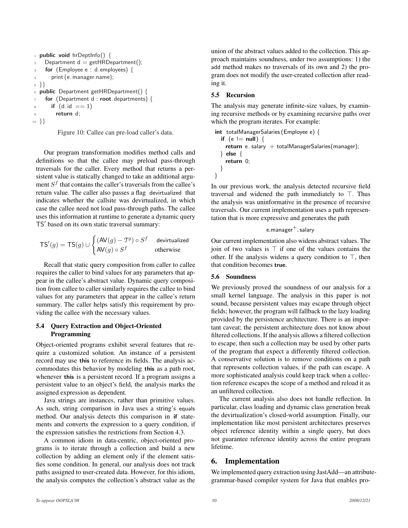```
1 public void hrDeptInfo() {
    Department d = getHRDepartment();for (Employee e : d.employees) \{4 print (e.manager.name);
5 }}
6 public Department getHRDepartment() {
    for (Department d : root.departments) {
      if (d.id == 1)return d:
10 }}
```
Figure 10: Callee can pre-load caller's data.

Our program transformation modifies method calls and definitions so that the callee may preload pass-through traversals for the caller. Every method that returns a persistent value is statically changed to take an additional argument  $S<sup>f</sup>$  that contains the caller's traversals from the callee's return value. The caller also passes a flag devirtualized that indicates whether the callsite was devirtualized, in which case the callee need not load pass-through paths. The callee uses this information at runtime to generate a dynamic query TS' based on its own static traversal summary:

$$
\mathsf{TS}'(g) = \mathsf{TS}(g) \cup \begin{cases} (\mathsf{AV}(g) - \mathfrak{T}^g) \circ S^f & \text{devitualized} \\ \mathsf{AV}(g) \circ S^f & \text{otherwise} \end{cases}
$$

Recall that static query composition from caller to callee requires the caller to bind values for any parameters that appear in the callee's abstract value. Dynamic query composition from callee to caller similarly requires the callee to bind values for any parameters that appear in the callee's return summary. The caller helps satisfy this requirement by providing the callee with the necessary values.

### 5.4 Query Extraction and Object-Oriented Programming

Object-oriented programs exhibit several features that require a customized solution. An instance of a persistent record may use this to reference its fields. The analysis accommodates this behavior by modeling this as a path root, whenever this is a persistent record. If a program assigns a persistent value to an object's field, the analysis marks the assigned expression as dependent.

Java strings are instances, rather than primitive values. As such, string comparison in Java uses a string's equals method. Our analysis detects this comparison in if statements and converts the expression to a query condition, if the expression satisfies the restrictions from Section 4.3.

A common idiom in data-centric, object-oriented programs is to iterate through a collection and build a new collection by adding an element only if the element satisfies some condition. In general, our analysis does not track paths assigned to user-created data. However, for this idiom, the analysis computes the collection's abstract value as the union of the abstract values added to the collection. This approach maintains soundness, under two assumptions: 1) the add method makes no traversals of its own and 2) the program does not modify the user-created collection after reading it.

## 5.5 Recursion

The analysis may generate infinite-size values, by examining recursive methods or by examining recursive paths over which the program iterates. For example:

```
int totalManagerSalaries (Employee e) {
  if (e != null) {
    return e. salary + totalManagerSalaries(manager);
  } else {
    return 0;
  }
}
```
In our previous work, the analysis detected recursive field traversal and widened the path immediately to  $\top$ . Thus the analysis was uninformative in the presence of recursive traversals. Our current implementation uses a path representation that is more expressive and generates the path

## $e$ .manager $+$ . salary

Our current implementation also widens abstract values. The join of two values is  $\top$  if one of the values contains the other. If the analysis widens a query condition to  $\top$ , then that condition becomes true.

#### 5.6 Soundness

We previously proved the soundness of our analysis for a small kernel language. The analysis in this paper is not sound, because persistent values may escape through object fields; however, the program will fallback to the lazy loading provided by the persistence architecture. There is an important caveat; the persistent architecture does not know about filtered collections. If the analysis allows a filtered collection to escape, then such a collection may be used by other parts of the program that expect a differently filtered collection. A conservative solution is to remove conditions on a path that represents collection values, if the path can escape. A more sophisticated analysis could keep track when a collection reference escapes the scope of a method and reload it as an unfiltered collection.

The current analysis also does not handle reflection. In particular, class loading and dynamic class generation break the devirtualization's closed-world assumption. Finally, our implementation like most persistent architectures preserves object reference identity within a single query, but does not guarantee reference identity across the entire program lifetime.

# 6. Implementation

We implemented query extraction using JastAdd—an attributegrammar-based compiler system for Java that enables pro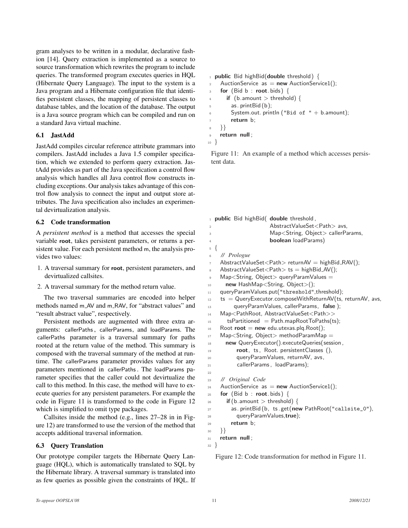gram analyses to be written in a modular, declarative fashion [14]. Query extraction is implemented as a source to source transformation which rewrites the program to include queries. The transformed program executes queries in HQL (Hibernate Query Language). The input to the system is a Java program and a Hibernate configuration file that identifies persistent classes, the mapping of persistent classes to database tables, and the location of the database. The output is a Java source program which can be compiled and run on a standard Java virtual machine.

### 6.1 JastAdd

JastAdd compiles circular reference attribute grammars into compilers. JastAdd includes a Java 1.5 compiler specification, which we extended to perform query extraction. JastAdd provides as part of the Java specification a control flow analysis which handles all Java control flow constructs including exceptions. Our analysis takes advantage of this control flow analysis to connect the input and output store attributes. The Java specification also includes an experimental devirtualization analysis.

### 6.2 Code transformation

A *persistent method* is a method that accesses the special variable root, takes persistent parameters, or returns a persistent value. For each persistent method m, the analysis provides two values:

- 1. A traversal summary for root, persistent parameters, and devirtualized callsites.
- 2. A traversal summary for the method return value.

The two traversal summaries are encoded into helper methods named m AV and m RAV, for "abstract values" and "result abstract value", respectively.

Persistent methods are augmented with three extra arguments: callerPaths , callerParams, and loadParams. The callerPaths parameter is a traversal summary for paths rooted at the return value of the method. This summary is composed with the traversal summary of the method at runtime. The callerParams parameter provides values for any parameters mentioned in callerPaths . The loadParams parameter specifies that the caller could not devirtualize the call to this method. In this case, the method will have to execute queries for any persistent parameters. For example the code in Figure 11 is transformed to the code in Figure 12 which is simplified to omit type packages.

Callsites inside the method (e.g., lines 27–28 in in Figure 12) are transformed to use the version of the method that accepts additional traversal information.

## 6.3 Query Translation

Our prototype compiler targets the Hibernate Query Language (HQL), which is automatically translated to SQL by the Hibernate library. A traversal summary is translated into as few queries as possible given the constraints of HQL. If

#### $1$  public Bid highBid(double threshold) {

```
2 AuctionService as = new AuctionService1();
\overline{\phantom{a}} for (Bid b : root. bids) {
4 if (b.amount > threshold) {
5 as. printBid (b);
6 System.out. println ("Bid of " + b.amount);
7 return b;
8 }}
```

```
9 return null ;
```
<sup>10</sup> }

Figure 11: An example of a method which accesses persistent data.

```
1 public Bid highBid( double threshold,
2 AbstractValueSet<Path> avs,
3 Map<String, Object> callerParams,
                    boolean loadParams)
5<sup>1</sup>6 // Prologue
7 AbstractValueSet<Path> returnAV = highBid_RAV();
8 AbstractValueSet<Path> ts = highBid_AV();
9 Map<String, Object> queryParamValues =
10 new HashMap<String, Object>();
11 queryParamValues.put("threshold",threshold);
12 ts = QueryExecutor.composeWithReturnAV(ts, returnAV, avs,
13 queryParamValues, callerParams, false);
14 Map<PathRoot, AbstractValueSet<Path>>
_{15} tsPartitioned = Path.mapRootToPaths(ts);
16 Root root = new edu.utexas.plq.Root();
17 Map<String, Object > methodParamMap =
18 new QueryExecutor().executeQueries(session,
19 root, ts, Root. persistentClasses (),
20 queryParamValues, returnAV, avs,
21 callerParams , loadParams);
22
23 // Original Code
24 AuctionService as = new AuctionService1();
25 for (Bid b : root. bids) {
_{26} if (b.amount > threshold) {
27 as. printBid (b, ts . get(new PathRoot("callsite_0"),
28 queryParamValues, true);
29 return b;
30 }}
31 return null ;
32 }
```
Figure 12: Code transformation for method in Figure 11.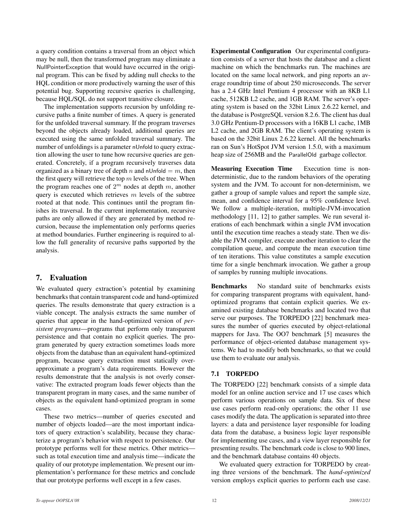a query condition contains a traversal from an object which may be null, then the transformed program may eliminate a NullPointerException that would have occurred in the original program. This can be fixed by adding null checks to the HQL condition or more productively warning the user of this potential bug. Supporting recursive queries is challenging, because HQL/SQL do not support transitive closure.

The implementation supports recursion by unfolding recursive paths a finite number of times. A query is generated for the unfolded traversal summary. If the program traverses beyond the objects already loaded, additional queries are executed using the same unfolded traversal summary. The number of unfoldings is a parameter nUnfold to query extraction allowing the user to tune how recursive queries are generated. Concretely, if a program recursively traverses data organized as a binary tree of depth n and nUnfold  $=m$ , then the first query will retrieve the top  $m$  levels of the tree. When the program reaches one of  $2^m$  nodes at depth m, another query is executed which retrieves  $m$  levels of the subtree rooted at that node. This continues until the program finishes its traversal. In the current implementation, recursive paths are only allowed if they are generated by method recursion, because the implementation only performs queries at method boundaries. Further engineering is required to allow the full generality of recursive paths supported by the analysis.

# 7. Evaluation

We evaluated query extraction's potential by examining benchmarks that contain transparent code and hand-optimized queries. The results demonstrate that query extraction is a viable concept. The analysis extracts the same number of queries that appear in the hand-optimized version of *persistent programs*—programs that perform only transparent persistence and that contain no explicit queries. The program generated by query extraction sometimes loads more objects from the database than an equivalent hand-optimized program, because query extraction must statically overapproximate a program's data requirements. However the results demonstrate that the analysis is not overly conservative: The extracted program loads fewer objects than the transparent program in many cases, and the same number of objects as the equivalent hand-optimized program in some cases.

These two metrics—number of queries executed and number of objects loaded—are the most important indicators of query extraction's scalability, because they characterize a program's behavior with respect to persistence. Our prototype performs well for these metrics. Other metrics such as total execution time and analysis time—indicate the quality of our prototype implementation. We present our implementation's performance for these metrics and conclude that our prototype performs well except in a few cases.

Experimental Configuration Our experimental configuration consists of a server that hosts the database and a client machine on which the benchmarks run. The machines are located on the same local network, and ping reports an average roundtrip time of about 250 microseconds. The server has a 2.4 GHz Intel Pentium 4 processor with an 8KB L1 cache, 512KB L2 cache, and 1GB RAM. The server's operating system is based on the 32bit Linux 2.6.22 kernel, and the database is PostgreSQL version 8.2.6. The client has dual 3.0 GHz Pentium-D processors with a 16KB L1 cache, 1MB L2 cache, and 2GB RAM. The client's operating system is based on the 32bit Linux 2.6.22 kernel. All the benchmarks ran on Sun's HotSpot JVM version 1.5.0, with a maximum heap size of 256MB and the ParallelOld garbage collector.

Measuring Execution Time Execution time is nondeterministic, due to the random behaviors of the operating system and the JVM. To account for non-determinism, we gather a group of sample values and report the sample size, mean, and confidence interval for a 95% confidence level. We follow a multiple-iteration, multiple-JVM-invocation methodology [11, 12] to gather samples. We run several iterations of each benchmark within a single JVM invocation until the execution time reaches a steady state. Then we disable the JVM compiler, execute another iteration to clear the compilation queue, and compute the mean execution time of ten iterations. This value constitutes a sample execution time for a single benchmark invocation. We gather a group of samples by running multiple invocations.

Benchmarks No standard suite of benchmarks exists for comparing transparent programs with equivalent, handoptimized programs that contain explicit queries. We examined existing database benchmarks and located two that serve our purposes. The TORPEDO [22] benchmark measures the number of queries executed by object-relational mappers for Java. The OO7 benchmark [5] measures the performance of object-oriented database management systems. We had to modify both benchmarks, so that we could use them to evaluate our analysis.

## 7.1 TORPEDO

The TORPEDO [22] benchmark consists of a simple data model for an online auction service and 17 use cases which perform various operations on sample data. Six of these use cases perform read-only operations; the other 11 use cases modify the data. The application is separated into three layers: a data and persistence layer responsible for loading data from the database, a business logic layer responsible for implementing use cases, and a view layer responsible for presenting results. The benchmark code is close to 900 lines, and the benchmark database contains 40 objects.

We evaluated query extraction for TORPEDO by creating three versions of the benchmark. The *hand-optimized* version employs explicit queries to perform each use case.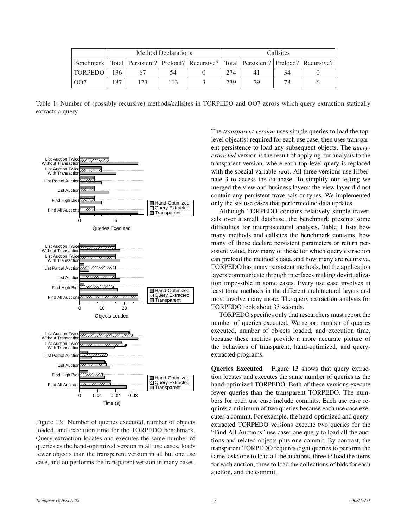|                                                                                                       | Method Declarations |     |     | Callsites |     |    |  |  |
|-------------------------------------------------------------------------------------------------------|---------------------|-----|-----|-----------|-----|----|--|--|
| Benchmark   Total   Persistent?   Preload?   Recursive?   Total   Persistent?   Preload?   Recursive? |                     |     |     |           |     |    |  |  |
| <b>TORPEDO</b>                                                                                        |                     |     | 54  |           | 274 |    |  |  |
| OΟ.                                                                                                   | 187                 | 123 | 113 |           | 239 | 70 |  |  |

Table 1: Number of (possibly recursive) methods/callsites in TORPEDO and OO7 across which query extraction statically extracts a query.



Figure 13: Number of queries executed, number of objects loaded, and execution time for the TORPEDO benchmark. Query extraction locates and executes the same number of queries as the hand-optimized version in all use cases, loads fewer objects than the transparent version in all but one use case, and outperforms the transparent version in many cases.

The *transparent version* uses simple queries to load the toplevel object(s) required for each use case, then uses transparent persistence to load any subsequent objects. The *queryextracted* version is the result of applying our analysis to the transparent version, where each top-level query is replaced with the special variable root. All three versions use Hibernate 3 to access the database. To simplify our testing we merged the view and business layers; the view layer did not contain any persistent traversals or types. We implemented only the six use cases that performed no data updates.

Although TORPEDO contains relatively simple traversals over a small database, the benchmark presents some difficulties for interprocedural analysis. Table 1 lists how many methods and callsites the benchmark contains, how many of those declare persistent parameters or return persistent value, how many of those for which query extraction can preload the method's data, and how many are recursive. TORPEDO has many persistent methods, but the application layers communicate through interfaces making devirtualization impossible in some cases. Every use case involves at least three methods in the different architectural layers and most involve many more. The query extraction analysis for TORPEDO took about 33 seconds.

TORPEDO specifies only that researchers must report the number of queries executed. We report number of queries executed, number of objects loaded, and execution time, because these metrics provide a more accurate picture of the behaviors of transparent, hand-optimized, and queryextracted programs.

Queries Executed Figure 13 shows that query extraction locates and executes the same number of queries as the hand-optimized TORPEDO. Both of these versions execute fewer queries than the transparent TORPEDO. The numbers for each use case include commits. Each use case requires a minimum of two queries because each use case executes a commit. For example, the hand-optimized and queryextracted TORPEDO versions execute two queries for the "Find All Auctions" use case: one query to load all the auctions and related objects plus one commit. By contrast, the transparent TORPEDO requires eight queries to perform the same task: one to load all the auctions, three to load the items for each auction, three to load the collections of bids for each auction, and the commit.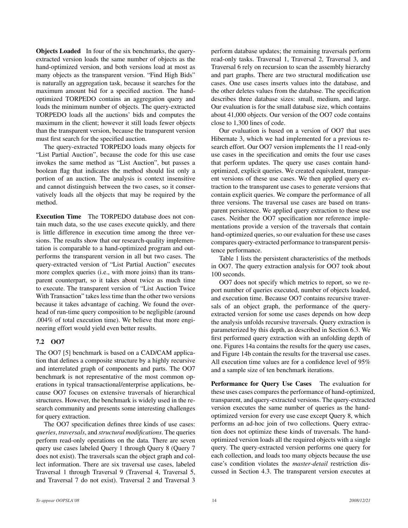Objects Loaded In four of the six benchmarks, the queryextracted version loads the same number of objects as the hand-optimized version, and both versions load at most as many objects as the transparent version. "Find High Bids" is naturally an aggregation task, because it searches for the maximum amount bid for a specified auction. The handoptimized TORPEDO contains an aggregation query and loads the minimum number of objects. The query-extracted TORPEDO loads all the auctions' bids and computes the maximum in the client; however it still loads fewer objects than the transparent version, because the transparent version must first search for the specified auction.

The query-extracted TORPEDO loads many objects for "List Partial Auction", because the code for this use case invokes the same method as "List Auction", but passes a boolean flag that indicates the method should list only a portion of an auction. The analysis is context insensitive and cannot distinguish between the two cases, so it conservatively loads all the objects that may be required by the method.

Execution Time The TORPEDO database does not contain much data, so the use cases execute quickly, and there is little difference in execution time among the three versions. The results show that our research-quality implementation is comparable to a hand-optimized program and outperforms the transparent version in all but two cases. The query-extracted version of "List Partial Auction" executes more complex queries (i.e., with more joins) than its transparent counterpart, so it takes about twice as much time to execute. The transparent version of "List Auction Twice With Transaction" takes less time than the other two versions because it takes advantage of caching. We found the overhead of run-time query composition to be negligible (around .004% of total execution time). We believe that more engineering effort would yield even better results.

## 7.2 OO7

The OO7 [5] benchmark is based on a CAD/CAM application that defines a composite structure by a highly recursive and interrelated graph of components and parts. The OO7 benchmark is not representative of the most common operations in typical transactional/enterprise applications, because OO7 focuses on extensive traversals of hierarchical structures. However, the benchmark is widely used in the research community and presents some interesting challenges for query extraction.

The OO7 specification defines three kinds of use cases: *queries*, *traversals*, and *structural modifications*. The queries perform read-only operations on the data. There are seven query use cases labeled Query 1 through Query 8 (Query 7 does not exist). The traversals scan the object graph and collect information. There are six traversal use cases, labeled Traversal 1 through Traversal 9 (Traversal 4, Traversal 5, and Traversal 7 do not exist). Traversal 2 and Traversal 3

perform database updates; the remaining traversals perform read-only tasks. Traversal 1, Traversal 2, Traversal 3, and Traversal 6 rely on recursion to scan the assembly hierarchy and part graphs. There are two structural modification use cases. One use cases inserts values into the database, and the other deletes values from the database. The specification describes three database sizes: small, medium, and large. Our evaluation is for the small database size, which contains about 41,000 objects. Our version of the OO7 code contains close to 1,300 lines of code.

Our evaluation is based on a version of OO7 that uses Hibernate 3, which we had implemented for a previous research effort. Our OO7 version implements the 11 read-only use cases in the specification and omits the four use cases that perform updates. The query use cases contain handoptimized, explicit queries. We created equivalent, transparent versions of these use cases. We then applied query extraction to the transparent use cases to generate versions that contain explicit queries. We compare the performance of all three versions. The traversal use cases are based on transparent persistence. We applied query extraction to these use cases. Neither the OO7 specification nor reference implementations provide a version of the traversals that contain hand-optimized queries, so our evaluation for these use cases compares query-extracted performance to transparent persistence performance.

Table 1 lists the persistent characteristics of the methods in OO7. The query extraction analysis for OO7 took about 100 seconds.

OO7 does not specify which metrics to report, so we report number of queries executed, number of objects loaded, and execution time. Because OO7 contains recursive traversals of an object graph, the performance of the queryextracted version for some use cases depends on how deep the analysis unfolds recursive traversals. Query extraction is parameterized by this depth, as described in Section 6.3. We first performed query extraction with an unfolding depth of one. Figures 14a contains the results for the query use cases, and Figure 14b contain the results for the traversal use cases. All execution time values are for a confidence level of 95% and a sample size of ten benchmark iterations.

Performance for Query Use Cases The evaluation for these uses cases compares the performance of hand-optimized, transparent, and query-extracted versions. The query-extracted version executes the same number of queries as the handoptimized version for every use case except Query 8, which performs an ad-hoc join of two collections. Query extraction does not optimize these kinds of traversals. The handoptimized version loads all the required objects with a single query. The query-extracted version performs one query for each collection, and loads too many objects because the use case's condition violates the *master-detail* restriction discussed in Section 4.3. The transparent version executes at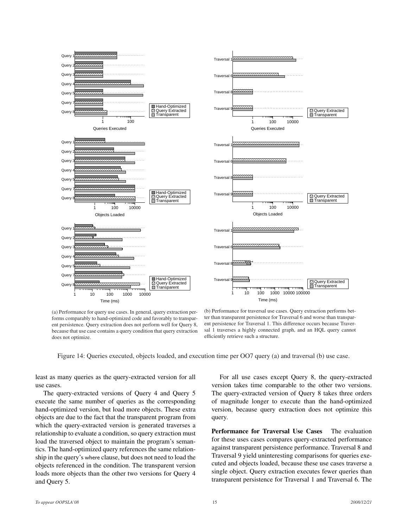

(a) Performance for query use cases. In general, query extraction performs comparably to hand-optimized code and favorably to transparent persistence. Query extraction does not perform well for Query 8, because that use case contains a query condition that query extraction does not optimize.

(b) Performance for traversal use cases. Query extraction performs better than transparent persistence for Traversal 6 and worse than transparent persistence for Traversal 1. This difference occurs because Traversal 1 traverses a highly connected graph, and an HQL query cannot efficiently retrieve such a structure.

Figure 14: Queries executed, objects loaded, and execution time per OO7 query (a) and traversal (b) use case.

least as many queries as the query-extracted version for all use cases.

The query-extracted versions of Query 4 and Query 5 execute the same number of queries as the corresponding hand-optimized version, but load more objects. These extra objects are due to the fact that the transparent program from which the query-extracted version is generated traverses a relationship to evaluate a condition, so query extraction must load the traversed object to maintain the program's semantics. The hand-optimized query references the same relationship in the query's where clause, but does not need to load the objects referenced in the condition. The transparent version loads more objects than the other two versions for Query 4 and Query 5.

For all use cases except Query 8, the query-extracted version takes time comparable to the other two versions. The query-extracted version of Query 8 takes three orders of magnitude longer to execute than the hand-optimized version, because query extraction does not optimize this query.

Performance for Traversal Use Cases The evaluation for these uses cases compares query-extracted performance against transparent persistence performance. Traversal 8 and Traversal 9 yield uninteresting comparisons for queries executed and objects loaded, because these use cases traverse a single object. Query extraction executes fewer queries than transparent persistence for Traversal 1 and Traversal 6. The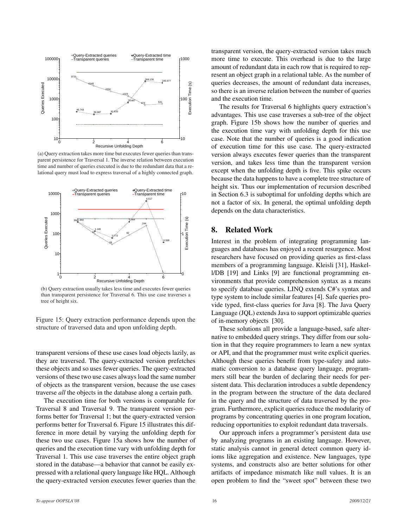

(a) Query extraction takes more time but executes fewer queries than transparent persistence for Traversal 1. The inverse relation between execution time and number of queries executed is due to the redundant data that a relational query must load to express traversal of a highly connected graph.



(b) Query extraction usually takes less time and executes fewer queries than transparent persistence for Traversal 6. This use case traverses a tree of height six.

Figure 15: Query extraction performance depends upon the structure of traversed data and upon unfolding depth.

transparent versions of these use cases load objects lazily, as they are traversed. The query-extracted version prefetches these objects and so uses fewer queries. The query-extracted versions of these two use cases always load the same number of objects as the transparent version, because the use cases traverse *all* the objects in the database along a certain path.

The execution time for both versions is comparable for Traversal 8 and Traversal 9. The transparent version performs better for Traversal 1; but the query-extracted version performs better for Traversal 6. Figure 15 illustrates this difference in more detail by varying the unfolding depth for these two use cases. Figure 15a shows how the number of queries and the execution time vary with unfolding depth for Traversal 1. This use case traverses the entire object graph stored in the database—a behavior that cannot be easily expressed with a relational query language like HQL. Although the query-extracted version executes fewer queries than the

transparent version, the query-extracted version takes much more time to execute. This overhead is due to the large amount of redundant data in each row that is required to represent an object graph in a relational table. As the number of queries decreases, the amount of redundant data increases, so there is an inverse relation between the number of queries and the execution time.

The results for Traversal 6 highlights query extraction's advantages. This use case traverses a sub-tree of the object graph. Figure 15b shows how the number of queries and the execution time vary with unfolding depth for this use case. Note that the number of queries is a good indication of execution time for this use case. The query-extracted version always executes fewer queries than the transparent version, and takes less time than the transparent version except when the unfolding depth is five. This spike occurs because the data happens to have a complete tree structure of height six. Thus our implementation of recursion described in Section 6.3 is suboptimal for unfolding depths which are not a factor of six. In general, the optimal unfolding depth depends on the data characteristics.

#### 8. Related Work

Interest in the problem of integrating programming languages and databases has enjoyed a recent resurgence. Most researchers have focused on providing queries as first-class members of a programming language. Kleisli [31], Haskell/DB [19] and Links [9] are functional programming environments that provide comprehension syntax as a means to specify database queries. LINQ extends C#'s syntax and type system to include similar features [4]. Safe queries provide typed, first-class queries for Java [8]. The Java Query Language (JQL) extends Java to support optimizable queries of in-memory objects [30].

These solutions all provide a language-based, safe alternative to embedded query strings. They differ from our solution in that they require programmers to learn a new syntax or API, and that the programmer must write explicit queries. Although these queries benefit from type-safety and automatic conversion to a database query language, programmers still bear the burden of declaring their needs for persistent data. This declaration introduces a subtle dependency in the program between the structure of the data declared in the query and the structure of data traversed by the program. Furthermore, explicit queries reduce the modularity of programs by concentrating queries in one program location, reducing opportunities to exploit redundant data traversals.

Our approach infers a programmer's persistent data use by analyzing programs in an existing language. However, static analysis cannot in general detect common query idioms like aggregation and existence. New languages, type systems, and constructs also are better solutions for other artifacts of impedance mismatch like null values. It is an open problem to find the "sweet spot" between these two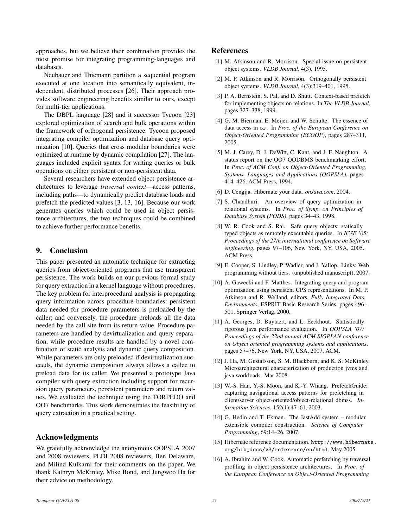approaches, but we believe their combination provides the most promise for integrating programming-languages and databases.

Neubauer and Thiemann partition a sequential program executed at one location into semantically equivalent, independent, distributed processes [26]. Their approach provides software engineering benefits similar to ours, except for multi-tier applications.

The DBPL language [28] and it successor Tycoon [23] explored optimization of search and bulk operations within the framework of orthogonal persistence. Tycoon proposed integrating compiler optimization and database query optimization [10]. Queries that cross modular boundaries were optimized at runtime by dynamic compilation [27]. The languages included explicit syntax for writing queries or bulk operations on either persistent or non-persistent data.

Several researchers have extended object persistence architectures to leverage *traversal context*—access patterns, including paths—to dynamically predict database loads and prefetch the predicted values [3, 13, 16]. Because our work generates queries which could be used in object persistence architectures, the two techniques could be combined to achieve further performance benefits.

## 9. Conclusion

This paper presented an automatic technique for extracting queries from object-oriented programs that use transparent persistence. The work builds on our previous formal study for query extraction in a kernel language without procedures. The key problem for interprocedural analysis is propagating query information across procedure boundaries: persistent data needed for procedure parameters is preloaded by the caller; and conversely, the procedure preloads all the data needed by the call site from its return value. Procedure parameters are handled by devirtualization and query separation, while procedure results are handled by a novel combination of static analysis and dynamic query composition. While parameters are only preloaded if devirtualization succeeds, the dynamic composition always allows a callee to preload data for its caller. We presented a prototype Java compiler with query extraction including support for recursion query parameters, persistent parameters and return values. We evaluated the technique using the TORPEDO and OO7 benchmarks. This work demonstrates the feasibility of query extraction in a practical setting.

#### Acknowledgments

We gratefully acknowledge the anonymous OOPSLA 2007 and 2008 reviewers, PLDI 2008 reviewers, Ben Delaware, and Milind Kulkarni for their comments on the paper. We thank Kathryn McKinley, Mike Bond, and Jungwoo Ha for their advice on methodology.

## References

- [1] M. Atkinson and R. Morrison. Special issue on persistent object systems. *VLDB Journal*, 4(3), 1995.
- [2] M. P. Atkinson and R. Morrison. Orthogonally persistent object systems. *VLDB Journal*, 4(3):319–401, 1995.
- [3] P. A. Bernstein, S. Pal, and D. Shutt. Context-based prefetch for implementing objects on relations. In *The VLDB Journal*, pages 327–338, 1999.
- [4] G. M. Bierman, E. Meijer, and W. Schulte. The essence of data access in cω. In *Proc. of the European Conference on Object-Oriented Programming (ECOOP)*, pages 287–311, 2005.
- [5] M. J. Carey, D. J. DeWitt, C. Kant, and J. F. Naughton. A status report on the OO7 OODBMS benchmarking effort. In *Proc. of ACM Conf. on Object-Oriented Programming, Systems, Languages and Applications (OOPSLA)*, pages 414–426. ACM Press, 1994.
- [6] D. Cengija. Hibernate your data. *onJava.com*, 2004.
- [7] S. Chaudhuri. An overview of query optimization in relational systems. In *Proc. of Symp. on Principles of Database System (PODS)*, pages 34–43, 1998.
- [8] W. R. Cook and S. Rai. Safe query objects: statically typed objects as remotely executable queries. In *ICSE '05: Proceedings of the 27th international conference on Software engineering*, pages 97–106, New York, NY, USA, 2005. ACM Press.
- [9] E. Cooper, S. Lindley, P. Wadler, and J. Yallop. Links: Web programming without tiers. (unpublished manuscript), 2007.
- [10] A. Gawecki and F. Matthes. Integrating query and program optimization using persistent CPS representations. In M. P. Atkinson and R. Welland, editors, *Fully Integrated Data Environments*, ESPRIT Basic Research Series, pages 496– 501. Springer Verlag, 2000.
- [11] A. Georges, D. Buytaert, and L. Eeckhout. Statistically rigorous java performance evaluation. In *OOPSLA '07: Proceedings of the 22nd annual ACM SIGPLAN conference on Object oriented programming systems and applications*, pages 57–76, New York, NY, USA, 2007. ACM.
- [12] J. Ha, M. Gustafsson, S. M. Blackburn, and K. S. McKinley. Microarchitectural characterization of production jvms and java workloads. Mar 2008.
- [13] W.-S. Han, Y.-S. Moon, and K.-Y. Whang. PrefetchGuide: capturing navigational access patterns for prefetching in client/server object-oriented/object-relational dbmss. *Information Sciences*, 152(1):47–61, 2003.
- [14] G. Hedin and T. Ekman. The JastAdd system modular extensible compiler construction. *Science of Computer Programming*, 69:14–26, 2007.
- [15] Hibernate reference documentation. http://www.hibernate. org/hib\_docs/v3/reference/en/html, May 2005.
- [16] A. Ibrahim and W. Cook. Automatic prefetching by traversal profiling in object persistence architectures. In *Proc. of the European Conference on Object-Oriented Programming*